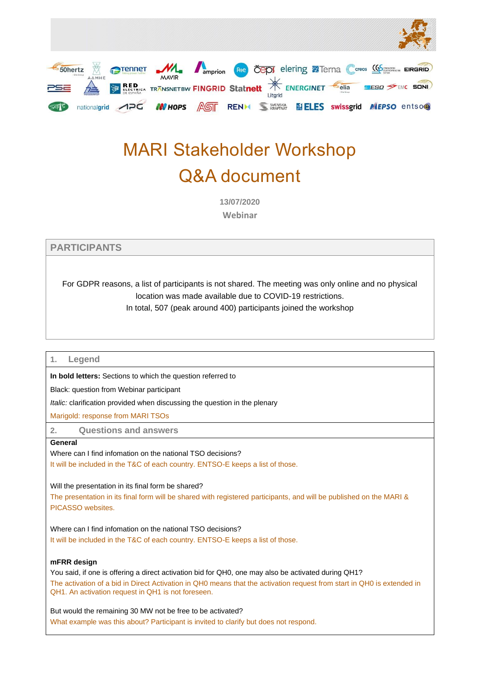

# MARI Stakeholder Workshop Q&A document

**13/07/2020 Webinar**

## **PARTICIPANTS**

For GDPR reasons, a list of participants is not shared. The meeting was only online and no physical location was made available due to COVID-19 restrictions.

In total, 507 (peak around 400) participants joined the workshop

## **1. Legend**

**In bold letters:** Sections to which the question referred to

Black: question from Webinar participant

*Italic:* clarification provided when discussing the question in the plenary

Marigold: response from MARI TSOs

**2. Questions and answers**

## **General**

Where can I find infomation on the national TSO decisions? It will be included in the T&C of each country. ENTSO-E keeps a list of those.

Will the presentation in its final form be shared?

The presentation in its final form will be shared with registered participants, and will be published on the MARI & PICASSO websites.

Where can I find infomation on the national TSO decisions? It will be included in the T&C of each country. ENTSO-E keeps a list of those.

## **mFRR design**

You said, if one is offering a direct activation bid for QH0, one may also be activated during QH1? The activation of a bid in Direct Activation in QH0 means that the activation request from start in QH0 is extended in QH1. An activation request in QH1 is not foreseen.

But would the remaining 30 MW not be free to be activated? What example was this about? Participant is invited to clarify but does not respond.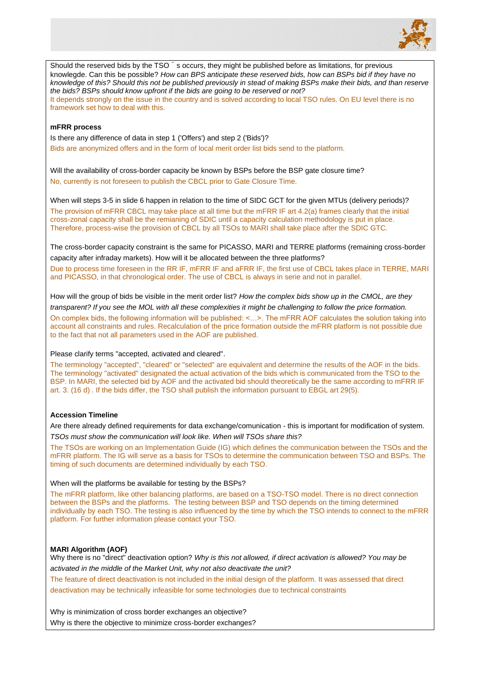

Should the reserved bids by the TSO  $\check{\ }$  s occurs, they might be published before as limitations, for previous knowlegde. Can this be possible? *How can BPS anticipate these reserved bids, how can BSPs bid if they have no knowledge of this? Should this not be published previously in stead of making BSPs make their bids, and than reserve the bids? BSPs should know upfront if the bids are going to be reserved or not?* It depends strongly on the issue in the country and is solved according to local TSO rules. On EU level there is no framework set how to deal with this.

## **mFRR process**

Is there any difference of data in step 1 ('Offers') and step 2 ('Bids')? Bids are anonymized offers and in the form of local merit order list bids send to the platform.

Will the availability of cross-border capacity be known by BSPs before the BSP gate closure time? No, currently is not foreseen to publish the CBCL prior to Gate Closure Time.

When will steps 3-5 in slide 6 happen in relation to the time of SIDC GCT for the given MTUs (delivery periods)? The provision of mFRR CBCL may take place at all time but the mFRR IF art 4.2(a) frames clearly that the initial cross-zonal capacity shall be the remianing of SDIC until a capacity calculation methodology is put in place. Therefore, process-wise the provision of CBCL by all TSOs to MARI shall take place after the SDIC GTC.

The cross-border capacity constraint is the same for PICASSO, MARI and TERRE platforms (remaining cross-border capacity after infraday markets). How will it be allocated between the three platforms?

Due to process time foreseen in the RR IF, mFRR IF and aFRR IF, the first use of CBCL takes place in TERRE, MARI and PICASSO, in that chronological order. The use of CBCL is always in serie and not in parallel.

How will the group of bids be visible in the merit order list? *How the complex bids show up in the CMOL, are they transparent? If you see the MOL with all these complexities it might be challenging to follow the price formation.*

On complex bids, the following information will be published: <…>. The mFRR AOF calculates the solution taking into account all constraints and rules. Recalculation of the price formation outside the mFRR platform is not possible due to the fact that not all parameters used in the AOF are published.

#### Please clarify terms "accepted, activated and cleared".

The terminology "accepted", "cleared" or "selected" are equivalent and determine the results of the AOF in the bids. The terminology "activated" designated the actual activation of the bids which is communicated from the TSO to the BSP. In MARI, the selected bid by AOF and the activated bid should theoretically be the same according to mFRR IF art. 3. (16 d) . If the bids differ, the TSO shall publish the information pursuant to EBGL art 29(5).

## **Accession Timeline**

Are there already defined requirements for data exchange/comunication - this is important for modification of system. *TSOs must show the communication will look like. When will TSOs share this?*

The TSOs are working on an Implementation Guide (IG) which defines the communication between the TSOs and the mFRR platform. The IG will serve as a basis for TSOs to determine the communication between TSO and BSPs. The timing of such documents are determined individually by each TSO.

When will the platforms be available for testing by the BSPs?

The mFRR platform, like other balancing platforms, are based on a TSO-TSO model. There is no direct connection between the BSPs and the platforms. The testing between BSP and TSO depends on the timing determined individually by each TSO. The testing is also influenced by the time by which the TSO intends to connect to the mFRR platform. For further information please contact your TSO.

## **MARI Algorithm (AOF)**

Why there is no "direct" deactivation option? *Why is this not allowed, if direct activation is allowed? You may be activated in the middle of the Market Unit, why not also deactivate the unit?*

The feature of direct deactivation is not included in the initial design of the platform. It was assessed that direct deactivation may be technically infeasible for some technologies due to technical constraints

Why is minimization of cross border exchanges an objective? Why is there the objective to minimize cross-border exchanges?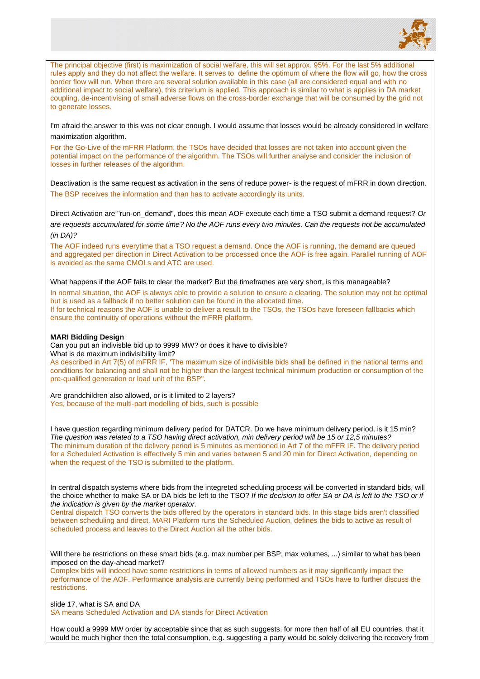

The principal objective (first) is maximization of social welfare, this will set approx. 95%. For the last 5% additional rules apply and they do not affect the welfare. It serves to define the optimum of where the flow will go, how the cross border flow will run. When there are several solution available in this case (all are considered equal and with no additional impact to social welfare), this criterium is applied. This approach is similar to what is applies in DA market coupling, de-incentivising of small adverse flows on the cross-border exchange that will be consumed by the grid not to generate losses.

I'm afraid the answer to this was not clear enough. I would assume that losses would be already considered in welfare maximization algorithm.

For the Go-Live of the mFRR Platform, the TSOs have decided that losses are not taken into account given the potential impact on the performance of the algorithm. The TSOs will further analyse and consider the inclusion of losses in further releases of the algorithm.

Deactivation is the same request as activation in the sens of reduce power- is the request of mFRR in down direction. The BSP receives the information and than has to activate accordingly its units.

Direct Activation are "run-on\_demand", does this mean AOF execute each time a TSO submit a demand request? *Or*  are requests accumulated for some time? No the AOF runs every two minutes. Can the requests not be accumulated *(in DA)?*

The AOF indeed runs everytime that a TSO request a demand. Once the AOF is running, the demand are queued and aggregated per direction in Direct Activation to be processed once the AOF is free again. Parallel running of AOF is avoided as the same CMOLs and ATC are used.

What happens if the AOF fails to clear the market? But the timeframes are very short, is this manageable?

In normal situation, the AOF is always able to provide a solution to ensure a clearing. The solution may not be optimal but is used as a fallback if no better solution can be found in the allocated time. If for technical reasons the AOF is unable to deliver a result to the TSOs, the TSOs have foreseen fallbacks which ensure the continuitiy of operations without the mFRR platform.

#### **MARI Bidding Design**

Can you put an indivisble bid up to 9999 MW? or does it have to divisible? What is de maximum indivisibility limit?

As described in Art 7(5) of mFRR IF, 'The maximum size of indivisible bids shall be defined in the national terms and conditions for balancing and shall not be higher than the largest technical minimum production or consumption of the pre-qualified generation or load unit of the BSP".

Are grandchildren also allowed, or is it limited to 2 layers? Yes, because of the multi-part modelling of bids, such is possible

I have question regarding minimum delivery period for DATCR. Do we have minimum delivery period, is it 15 min? *The question was related to a TSO having direct activation, min delivery period will be 15 or 12,5 minutes?* The minimum duration of the delivery period is 5 minutes as mentioned in Art 7 of the mFFR IF. The delivery period for a Scheduled Activation is effectively 5 min and varies between 5 and 20 min for Direct Activation, depending on when the request of the TSO is submitted to the platform.

In central dispatch systems where bids from the integreted scheduling process will be converted in standard bids, will the choice whether to make SA or DA bids be left to the TSO? *If the decision to offer SA or DA is left to the TSO or if the indication is given by the market operator.* 

Central dispatch TSO converts the bids offered by the operators in standard bids. In this stage bids aren't classified between scheduling and direct. MARI Platform runs the Scheduled Auction, defines the bids to active as result of scheduled process and leaves to the Direct Auction all the other bids.

Will there be restrictions on these smart bids (e.g. max number per BSP, max volumes, ...) similar to what has been imposed on the day-ahead market?

Complex bids will indeed have some restrictions in terms of allowed numbers as it may significantly impact the performance of the AOF. Performance analysis are currently being performed and TSOs have to further discuss the restrictions.

slide 17, what is SA and DA

SA means Scheduled Activation and DA stands for Direct Activation

How could a 9999 MW order by acceptable since that as such suggests, for more then half of all EU countries, that it would be much higher then the total consumption, e.g. suggesting a party would be solely delivering the recovery from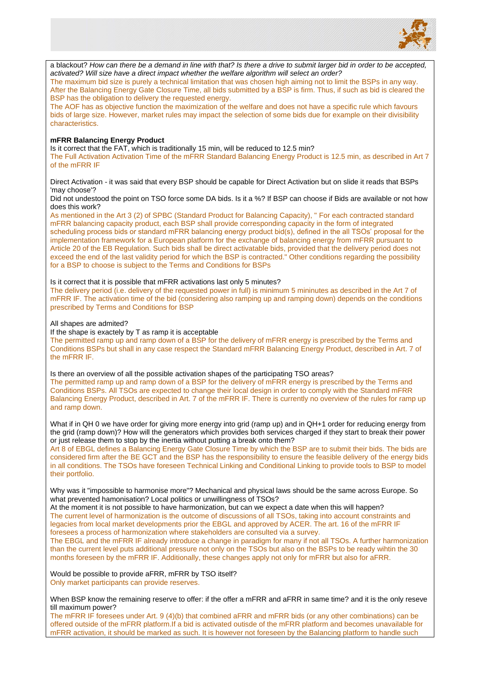

a blackout? *How can there be a demand in line with that? Is there a drive to submit larger bid in order to be accepted, activated? Will size have a direct impact whether the welfare algorithm will select an order?* The maximum bid size is purely a technical limitation that was chosen high aiming not to limit the BSPs in any way. After the Balancing Energy Gate Closure Time, all bids submitted by a BSP is firm. Thus, if such as bid is cleared the BSP has the obligation to delivery the requested energy. The AOF has as objective function the maximization of the welfare and does not have a specific rule which favours bids of large size. However, market rules may impact the selection of some bids due for example on their divisibility characteristics.

## **mFRR Balancing Energy Product**

Is it correct that the FAT, which is traditionally 15 min, will be reduced to 12.5 min?

The Full Activation Activation Time of the mFRR Standard Balancing Energy Product is 12.5 min, as described in Art 7 of the mFRR IF

Direct Activation - it was said that every BSP should be capable for Direct Activation but on slide it reads that BSPs 'may choose'?

Did not undestood the point on TSO force some DA bids. Is it a %? If BSP can choose if Bids are available or not how does this work?

As mentioned in the Art 3 (2) of SPBC (Standard Product for Balancing Capacity), " For each contracted standard mFRR balancing capacity product, each BSP shall provide corresponding capacity in the form of integrated scheduling process bids or standard mFRR balancing energy product bid(s), defined in the all TSOs' proposal for the implementation framework for a European platform for the exchange of balancing energy from mFRR pursuant to Article 20 of the EB Regulation. Such bids shall be direct activatable bids, provided that the delivery period does not exceed the end of the last validity period for which the BSP is contracted." Other conditions regarding the possibility for a BSP to choose is subject to the Terms and Conditions for BSPs

## Is it correct that it is possible that mFRR activations last only 5 minutes?

The delivery period (i.e. delivery of the requested power in full) is minimum 5 mininutes as described in the Art 7 of mFRR IF. The activation time of the bid (considering also ramping up and ramping down) depends on the conditions prescribed by Terms and Conditions for BSP

#### All shapes are admited?

If the shape is exactely by T as ramp it is acceptable

The permitted ramp up and ramp down of a BSP for the delivery of mFRR energy is prescribed by the Terms and Conditions BSPs but shall in any case respect the Standard mFRR Balancing Energy Product, described in Art. 7 of the mFRR IF.

#### Is there an overview of all the possible activation shapes of the participating TSO areas?

The permitted ramp up and ramp down of a BSP for the delivery of mFRR energy is prescribed by the Terms and Conditions BSPs. All TSOs are expected to change their local design in order to comply with the Standard mFRR Balancing Energy Product, described in Art. 7 of the mFRR IF. There is currently no overview of the rules for ramp up and ramp down.

What if in QH 0 we have order for giving more energy into grid (ramp up) and in QH+1 order for reducing energy from the grid (ramp down)? How will the generators which provides both services charged if they start to break their power or just release them to stop by the inertia without putting a break onto them?

Art 8 of EBGL defines a Balancing Energy Gate Closure Time by which the BSP are to submit their bids. The bids are considered firm after the BE GCT and the BSP has the responsibility to ensure the feasible delivery of the energy bids in all conditions. The TSOs have foreseen Technical Linking and Conditional Linking to provide tools to BSP to model their portfolio.

Why was it "impossible to harmonise more"? Mechanical and physical laws should be the same across Europe. So what prevented hamonisation? Local politics or unwillingness of TSOs?

At the moment it is not possible to have harmonization, but can we expect a date when this will happen? The current level of harmonization is the outcome of discussions of all TSOs, taking into account constraints and legacies from local market developments prior the EBGL and approved by ACER. The art. 16 of the mFRR IF foresees a process of harmonization where stakeholders are consulted via a survey.

The EBGL and the mFRR IF already introduce a change in paradigm for many if not all TSOs. A further harmonization than the current level puts additional pressure not only on the TSOs but also on the BSPs to be ready wihtin the 30 months foreseen by the mFRR IF. Additionally, these changes apply not only for mFRR but also for aFRR.

Would be possible to provide aFRR, mFRR by TSO itself? Only market participants can provide reserves.

When BSP know the remaining reserve to offer: if the offer a mFRR and aFRR in same time? and it is the only reseve till maximum power?

The mFRR IF foresees under Art. 9 (4)(b) that combined aFRR and mFRR bids (or any other combinations) can be offered outside of the mFRR platform.If a bid is activated outisde of the mFRR platform and becomes unavailable for mFRR activation, it should be marked as such. It is however not foreseen by the Balancing platform to handle such